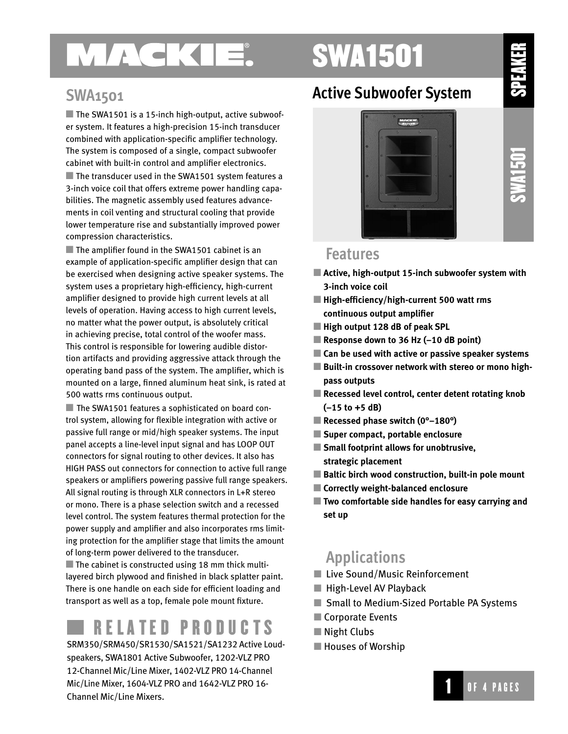# MAGKIE.

# SWA1501

### **SWA1501**

 $\blacksquare$  The SWA1501 is a 15-inch high-output, active subwoofer system. It features a high-precision 15-inch transducer combined with application-specific amplifier technology. The system is composed of a single, compact subwoofer cabinet with built-in control and amplifier electronics.  $\blacksquare$  The transducer used in the SWA1501 system features a 3-inch voice coil that offers extreme power handling capabilities. The magnetic assembly used features advance-

ments in coil venting and structural cooling that provide lower temperature rise and substantially improved power compression characteristics.

■ The amplifier found in the SWA1501 cabinet is an example of application-specific amplifier design that can be exercised when designing active speaker systems. The system uses a proprietary high-efficiency, high-current amplifier designed to provide high current levels at all levels of operation. Having access to high current levels, no matter what the power output, is absolutely critical in achieving precise, total control of the woofer mass. This control is responsible for lowering audible distortion artifacts and providing aggressive attack through the operating band pass of the system. The amplifier, which is mounted on a large, finned aluminum heat sink, is rated at 500 watts rms continuous output.

■ The SWA1501 features a sophisticated on board control system, allowing for flexible integration with active or passive full range or mid/high speaker systems. The input panel accepts a line-level input signal and has LOOP OUT connectors for signal routing to other devices. It also has HIGH PASS out connectors for connection to active full range speakers or amplifiers powering passive full range speakers. All signal routing is through XLR connectors in L+R stereo or mono. There is a phase selection switch and a recessed level control. The system features thermal protection for the power supply and amplifier and also incorporates rms limiting protection for the amplifier stage that limits the amount of long-term power delivered to the transducer.

 $\blacksquare$  The cabinet is constructed using 18 mm thick multilayered birch plywood and finished in black splatter paint. There is one handle on each side for efficient loading and transport as well as a top, female pole mount fixture.

## RELATED PRODUCTS

SRM350/SRM450/SR1530/SA1521/SA1232 Active Loudspeakers, SWA1801 Active Subwoofer, 1202-VLZ PRO 12-Channel Mic/Line Mixer, 1402-VLZ PRO 14-Channel Mic/Line Mixer, 1604-VLZ PRO and 1642-VLZ PRO 16- Channel Mic/Line Mixers.

## **Active Subwoofer System**



**SWA1501** 

### **Features**

- **Active, high-output 15-inch subwoofer system with 3-inch voice coil**
- **High-efficiency/high-current 500 watt rms continuous output amplifier**
- **High output 128 dB of peak SPL**
- **Response down to 36 Hz (–10 dB point)**
- **Can be used with active or passive speaker systems**
- **Built-in crossover network with stereo or mono highpass outputs**
- **Recessed level control, center detent rotating knob (–15 to +5 dB)**
- Recessed phase switch (0<sup>°</sup>–180<sup>°</sup>)
- **Super compact, portable enclosure**
- **Small footprint allows for unobtrusive, strategic placement**
- **Baltic birch wood construction, built-in pole mount**
- **Correctly weight-balanced enclosure**
- **Two comfortable side handles for easy carrying and set up**

## **Applications**

- Live Sound/Music Reinforcement
- $\blacksquare$  High-Level AV Playback
- Small to Medium-Sized Portable PA Systems
- Corporate Events
- Night Clubs
- **Houses of Worship**

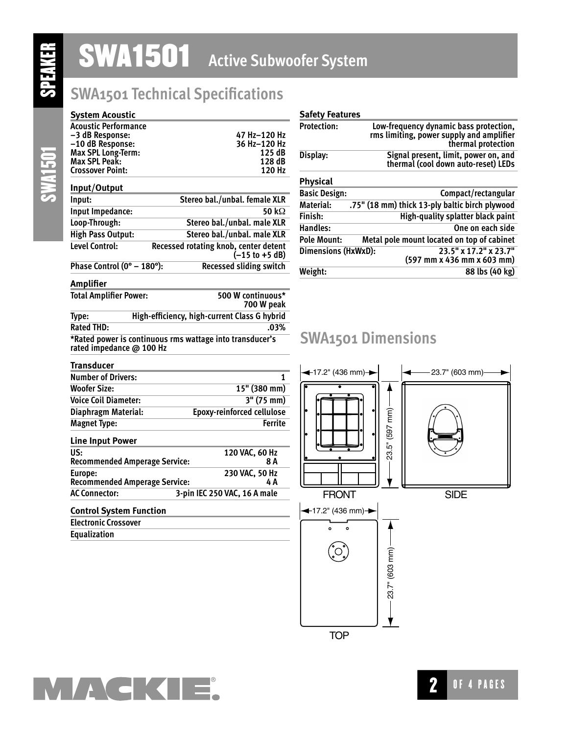# **SWA1501** Active Subwoofer System

## **SWA1501 Technical Specifications**

# SWA1501

| Acoustic Performance<br>-3 dB Response:<br>-10 dB Response:<br>Max SPL Long-Term:<br>Max SPL Peak:<br><b>Crossover Point:</b> | 47 Hz-120 Hz<br>36 Hz-120 Hz<br>125 dB<br>128 dB<br>120 Hz                 |
|-------------------------------------------------------------------------------------------------------------------------------|----------------------------------------------------------------------------|
| Input/Output                                                                                                                  |                                                                            |
| Input:                                                                                                                        | Stereo bal./unbal. female XLR                                              |
| Input Impedance:                                                                                                              | 50 k $\Omega$                                                              |
| Loop-Through:                                                                                                                 | Stereo bal./unbal. male XLR                                                |
| High Pass Output:                                                                                                             | Stereo bal./unbal. male XLR                                                |
| Level Control:                                                                                                                | Recessed rotating knob, center detent<br>$(-15 \text{ to } +5 \text{ dB})$ |
| Phase Control (0° – 180°):                                                                                                    | <b>Recessed sliding switch</b>                                             |

| <b>Safety Features</b>     |                                                                                                          |
|----------------------------|----------------------------------------------------------------------------------------------------------|
| <b>Protection:</b>         | Low-frequency dynamic bass protection,<br>rms limiting, power supply and amplifier<br>thermal protection |
| Display:                   | Signal present, limit, power on, and<br>thermal (cool down auto-reset) LEDs                              |
| <b>Physical</b>            |                                                                                                          |
| <b>Basic Design:</b>       | Compact/rectangular                                                                                      |
| Material:                  | .75" (18 mm) thick 13-ply baltic birch plywood                                                           |
| Finish:                    | <b>High-quality splatter black paint</b>                                                                 |
| Handles:                   | One on each side                                                                                         |
| <b>Pole Mount:</b>         | Metal pole mount located on top of cabinet                                                               |
| <b>Dimensions (HxWxD):</b> | 23.5" x 17.2" x 23.7"<br>(597 mm x 436 mm x 603 mm)                                                      |
| Weight:                    | 88 lbs (40 kg)                                                                                           |

### **Amplifier**

**System Acoustic**

| <b>Total Amplifier Power:</b> | 500 W continuous*<br>700 W peak                          |
|-------------------------------|----------------------------------------------------------|
| Type:                         | High-efficiency, high-current Class G hybrid             |
| <b>Rated THD:</b>             | $.03\%$                                                  |
| rated impedance @ 100 Hz      | *Rated power is continuous rms wattage into transducer's |

### **SWA1501 Dimensions**



| Transducer                                      |                                   |
|-------------------------------------------------|-----------------------------------|
| <b>Number of Drivers:</b>                       | 1                                 |
| <b>Woofer Size:</b>                             | $15"$ (380 mm)                    |
| <b>Voice Coil Diameter:</b>                     | $3''$ (75 mm)                     |
| Diaphragm Material:                             | <b>Epoxy-reinforced cellulose</b> |
| <b>Magnet Type:</b>                             | <b>Ferrite</b>                    |
| <b>Line Input Power</b>                         |                                   |
| US:<br><b>Recommended Amperage Service:</b>     | 120 VAC, 60 Hz<br>8 A             |
| Europe:<br><b>Recommended Amperage Service:</b> | 230 VAC, 50 Hz<br>4 A             |
| <b>AC Connector:</b>                            | 3-pin IEC 250 VAC, 16 A male      |
| Contael Contone Constit                         |                                   |

### **Control System Function Electronic Crossover Equalization**



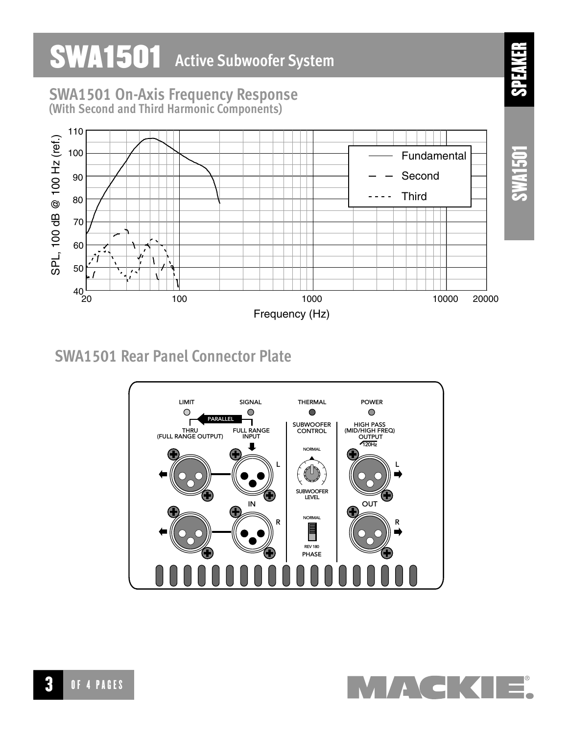### **SWA1501** Active Subwoofer System SPEAKER **SWA1501 On-Axis Frequency Response**  (With Second and Third Harmonic Components) 110 SPL, 100 dB @ 100 Hz (ref.) SPL, 100 dB @ 100 Hz (ref.) SWA1501 100 Fundamental Second 90 **Third**  $\sim$   $\sim$ 80 70 60 50 40 20 100 1000 10000 20000

Frequency (Hz)

## **SWA1501 Rear Panel Connector Plate**